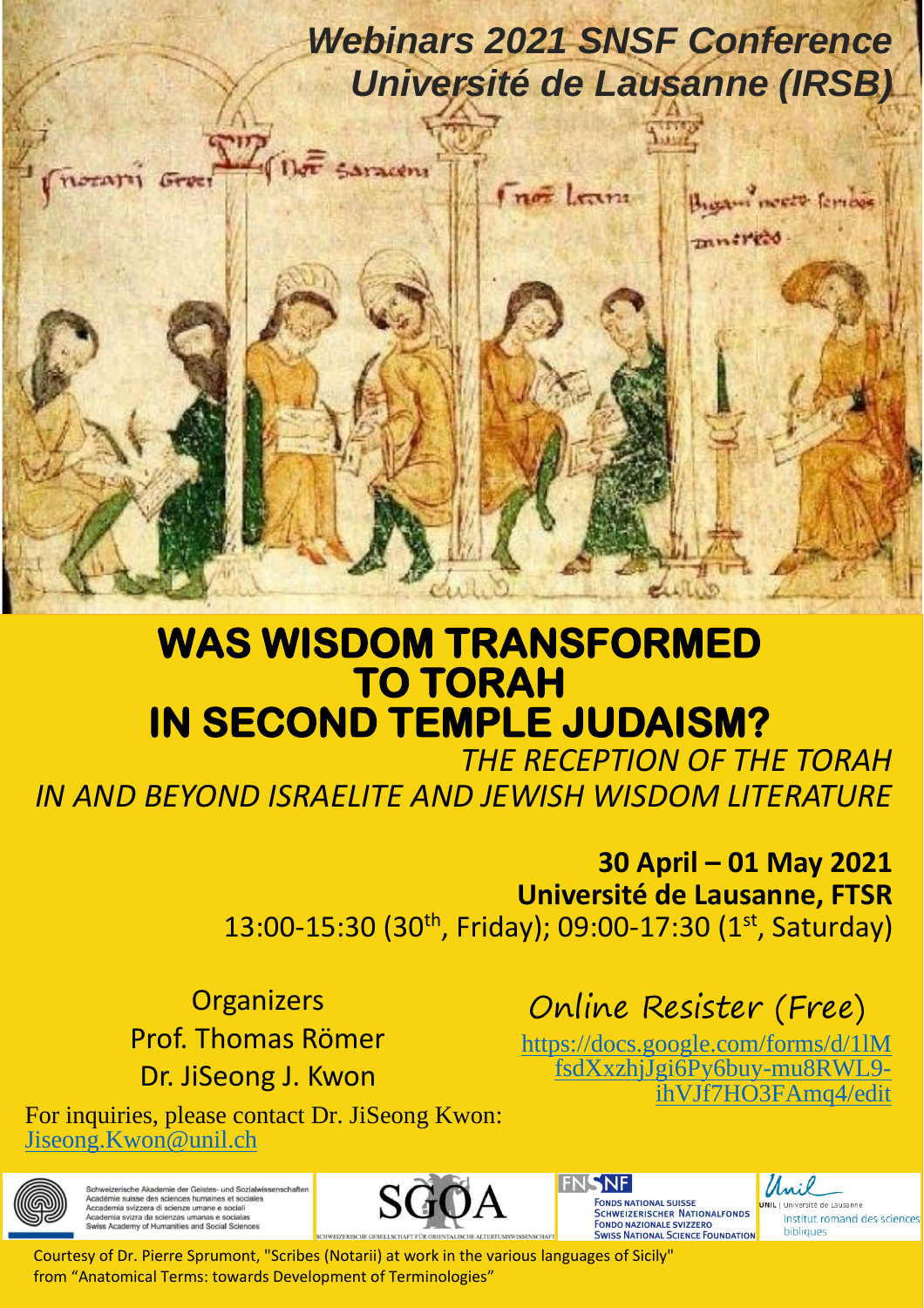# *Webinars 2021 SNSF Conference Université de Lausanne (IRSB)*

Bigani neere fember

mnired

not learn



í I ١ I

Saracen

Gree

ł j

Į i I l J ij İ

 *THE RECEPTION OF THE TORAH IN AND BEYOND ISRAELITE AND JEWISH WISDOM LITERATURE* 

> 13:00-15:30 (30<sup>th</sup>, Friday); 09:00-17:30 (1<sup>st</sup>, Saturday) **30 April – 01 May 2021 Université de Lausanne, FTSR**

**Organizers** Prof. Thomas Römer Dr. JiSeong J. Kwon

Online Resister (Free)

[https://docs.google.com/forms/d/1lM](https://docs.google.com/forms/d/1lMfsdXxzhjJgi6Py6buy-mu8RWL9-ihVJf7HO3FAmq4/edit) [fsdXxzhjJgi6Py6buy-mu8RWL9](https://docs.google.com/forms/d/1lMfsdXxzhjJgi6Py6buy-mu8RWL9-ihVJf7HO3FAmq4/edit) [ihVJf7HO3FAmq4/edit](https://docs.google.com/forms/d/1lMfsdXxzhjJgi6Py6buy-mu8RWL9-ihVJf7HO3FAmq4/edit)

For inquiries, please contact Dr. JiSeong Kwon: [Jiseong.Kwon@unil.ch](mailto:Jiseong.Kwon@unil.ch)



erische Akademie der Geistes- und Sozialwissenschaften<br>pia svizzera di scienzes humaines et sociales<br>ia svizza da scienzas umanas e socialis



FONDS NATIONAL SUISSE<br>SCHWEIZERISCHER NATIONALFONDS **FONDO NAZIONALE SVIZZERO SWISS NATIONAL SCIENCE FOUNDATION** 

SNF.

لانه وال

Institut romand des sciences bibliques

Courtesy of Dr. Pierre Sprumont, "Scribes (Notarii) at work in the various languages of Sicily" from "Anatomical Terms: towards Development of Terminologies"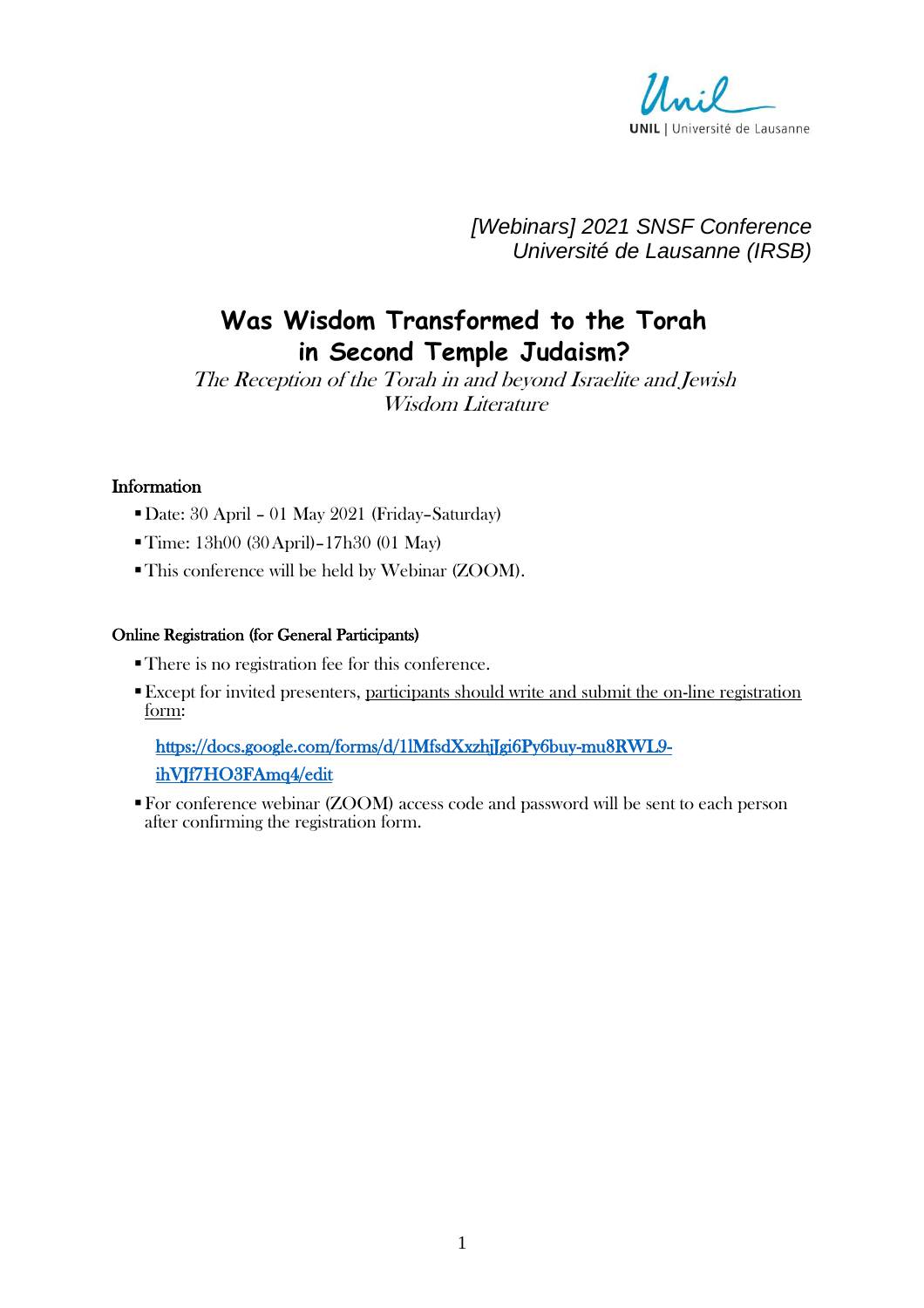

*[Webinars] 2021 SNSF Conference Université de Lausanne (IRSB)*

## **Was Wisdom Transformed to the Torah in Second Temple Judaism?**

The Reception of the Torah in and beyond Israelite and Jewish Wisdom Literature

#### Information

- ▪Date: 30 April 01 May 2021 (Friday–Saturday)
- Time: 13h00 (30 April)–17h30 (01 May)
- ▪This conference will be held by Webinar (ZOOM).

#### Online Registration (for General Participants)

- ▪There is no registration fee for this conference.
- **Except for invited presenters, participants should write and submit the on-line registration** form:

## [https://docs.google.com/forms/d/1lMfsdXxzhjJgi6Py6buy-mu8RWL9](https://docs.google.com/forms/d/1lMfsdXxzhjJgi6Py6buy-mu8RWL9-ihVJf7HO3FAmq4/edit) [ihVJf7HO3FAmq4/edit](https://docs.google.com/forms/d/1lMfsdXxzhjJgi6Py6buy-mu8RWL9-ihVJf7HO3FAmq4/edit)

▪For conference webinar (ZOOM) access code and password will be sent to each person after confirming the registration form.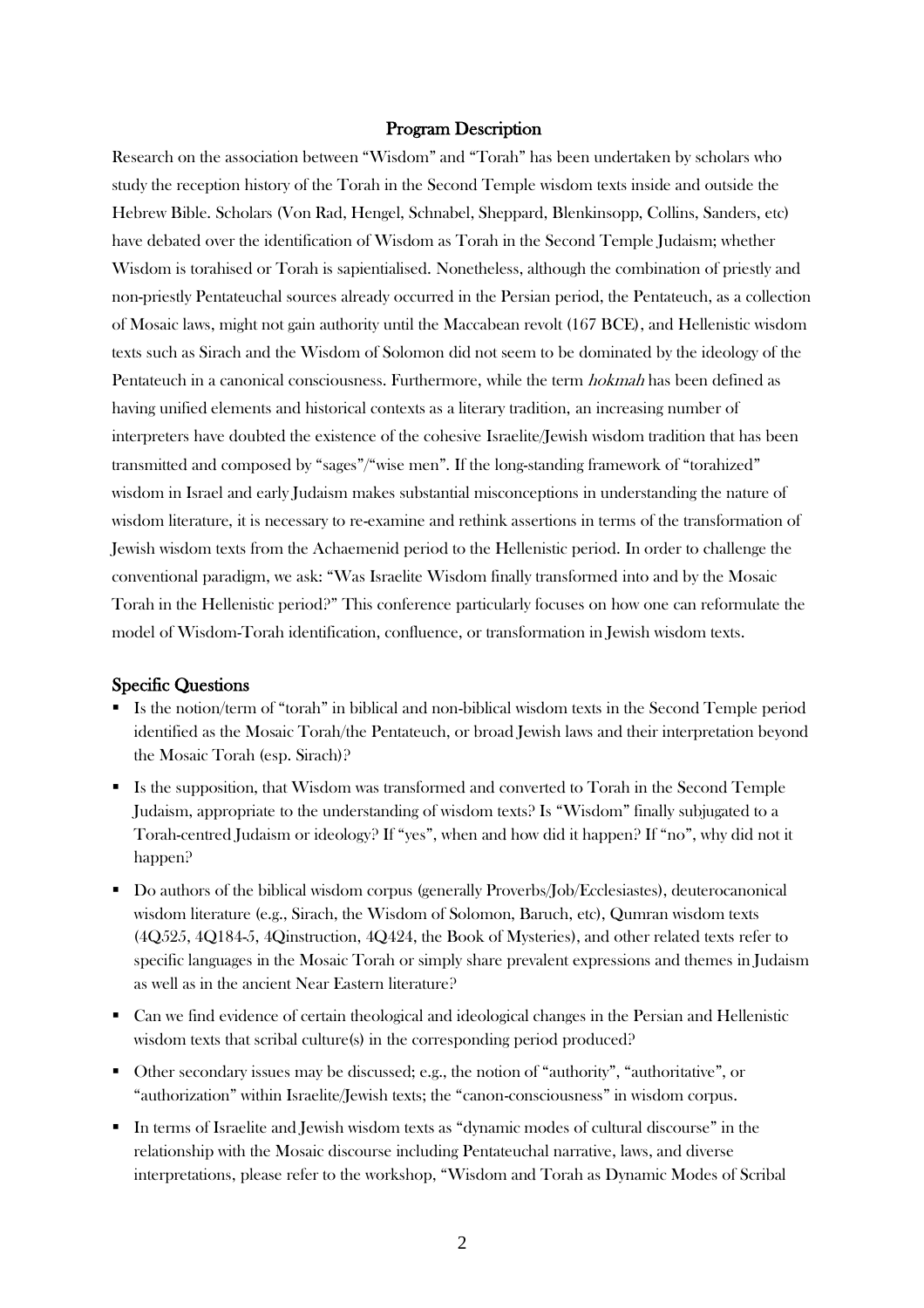#### Program Description

Research on the association between "Wisdom" and "Torah" has been undertaken by scholars who study the reception history of the Torah in the Second Temple wisdom texts inside and outside the Hebrew Bible. Scholars (Von Rad, Hengel, Schnabel, Sheppard, Blenkinsopp, Collins, Sanders, etc) have debated over the identification of Wisdom as Torah in the Second Temple Judaism; whether Wisdom is torahised or Torah is sapientialised. Nonetheless, although the combination of priestly and non-priestly Pentateuchal sources already occurred in the Persian period, the Pentateuch, as a collection of Mosaic laws, might not gain authority until the Maccabean revolt (167 BCE), and Hellenistic wisdom texts such as Sirach and the Wisdom of Solomon did not seem to be dominated by the ideology of the Pentateuch in a canonical consciousness. Furthermore, while the term hokmah has been defined as having unified elements and historical contexts as a literary tradition, an increasing number of interpreters have doubted the existence of the cohesive Israelite/Jewish wisdom tradition that has been transmitted and composed by "sages"/"wise men". If the long-standing framework of "torahized" wisdom in Israel and early Judaism makes substantial misconceptions in understanding the nature of wisdom literature, it is necessary to re-examine and rethink assertions in terms of the transformation of Jewish wisdom texts from the Achaemenid period to the Hellenistic period. In order to challenge the conventional paradigm, we ask: "Was Israelite Wisdom finally transformed into and by the Mosaic Torah in the Hellenistic period?" This conference particularly focuses on how one can reformulate the model of Wisdom-Torah identification, confluence, or transformation in Jewish wisdom texts.

#### Specific Questions

- Is the notion/term of "torah" in biblical and non-biblical wisdom texts in the Second Temple period identified as the Mosaic Torah/the Pentateuch, or broad Jewish laws and their interpretation beyond the Mosaic Torah (esp. Sirach)?
- Is the supposition, that Wisdom was transformed and converted to Torah in the Second Temple Judaism, appropriate to the understanding of wisdom texts? Is "Wisdom" finally subjugated to a Torah-centred Judaism or ideology? If "yes", when and how did it happen? If "no", why did not it happen?
- Do authors of the biblical wisdom corpus (generally Proverbs/Job/Ecclesiastes), deuterocanonical wisdom literature (e.g., Sirach, the Wisdom of Solomon, Baruch, etc), Qumran wisdom texts (4Q525, 4Q184-5, 4Qinstruction, 4Q424, the Book of Mysteries), and other related texts refer to specific languages in the Mosaic Torah or simply share prevalent expressions and themes in Judaism as well as in the ancient Near Eastern literature?
- Can we find evidence of certain theological and ideological changes in the Persian and Hellenistic wisdom texts that scribal culture(s) in the corresponding period produced?
- Other secondary issues may be discussed; e.g., the notion of "authority", "authoritative", or "authorization" within Israelite/Jewish texts; the "canon-consciousness" in wisdom corpus.
- In terms of Israelite and Jewish wisdom texts as "dynamic modes of cultural discourse" in the relationship with the Mosaic discourse including Pentateuchal narrative, laws, and diverse interpretations, please refer to the workshop, "Wisdom and Torah as Dynamic Modes of Scribal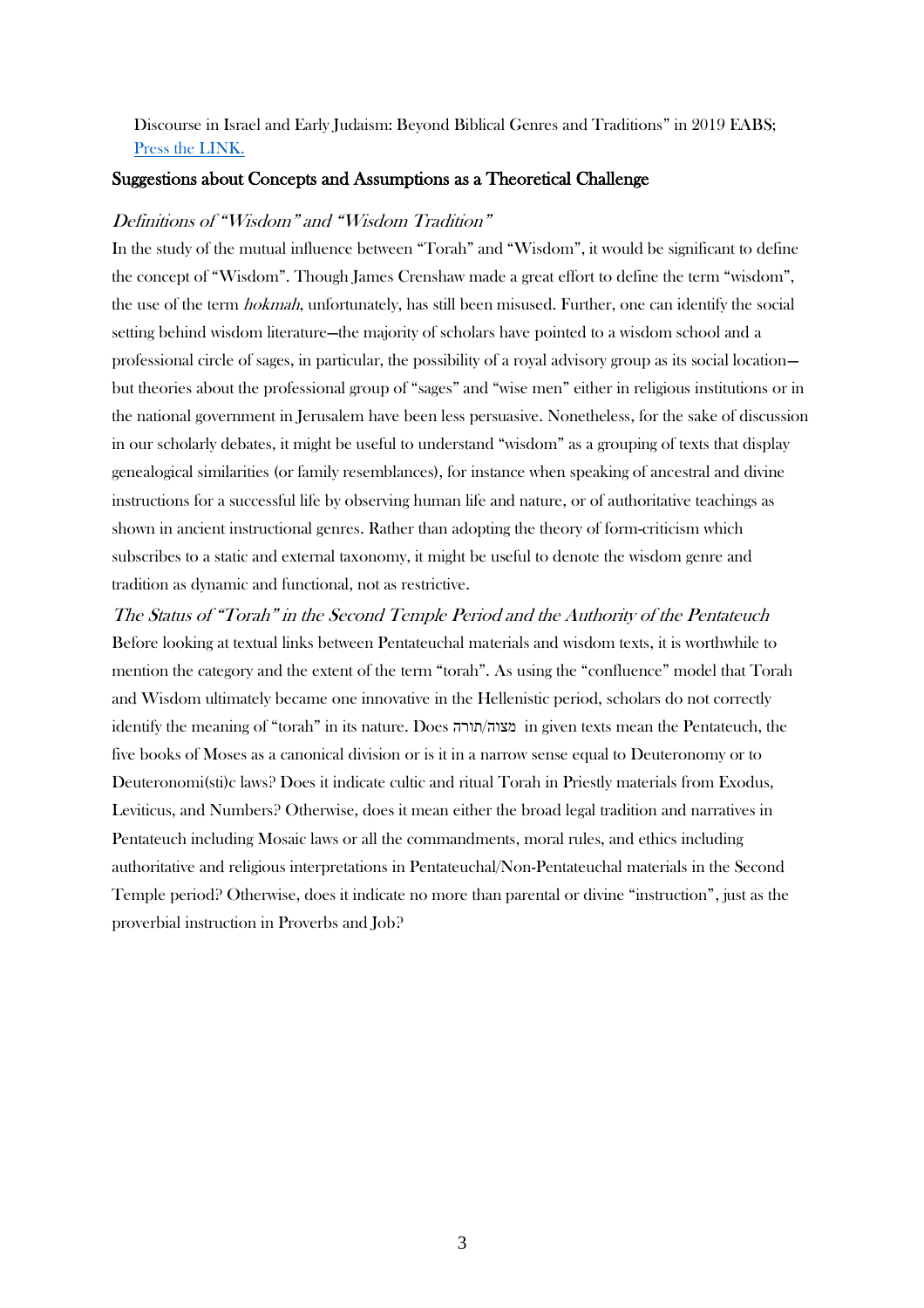#### Discourse in Israel and Early Judaism: Beyond Biblical Genres and Traditions" in 2019 EABS; [Press the LINK.](https://www.eabs.net/EABS/Research-Units/Research_Units/Workshops_2019/Wisdom_and_Torah_as_Dynamic_Modes_of_Scribal_Discourse_in_Israel_and_Early_Judaism_Beyond_Biblical.aspx)

#### Suggestions about Concepts and Assumptions as a Theoretical Challenge

#### Definitions of "Wisdom" and "Wisdom Tradition"

In the study of the mutual influence between "Torah" and "Wisdom", it would be significant to define the concept of "Wisdom". Though James Crenshaw made a great effort to define the term "wisdom", the use of the term hokmah, unfortunately, has still been misused. Further, one can identify the social setting behind wisdom literature—the majority of scholars have pointed to a wisdom school and a professional circle of sages, in particular, the possibility of a royal advisory group as its social location but theories about the professional group of "sages" and "wise men" either in religious institutions or in the national government in Jerusalem have been less persuasive. Nonetheless, for the sake of discussion in our scholarly debates, it might be useful to understand "wisdom" as a grouping of texts that display genealogical similarities (or family resemblances), for instance when speaking of ancestral and divine instructions for a successful life by observing human life and nature, or of authoritative teachings as shown in ancient instructional genres. Rather than adopting the theory of form-criticism which subscribes to a static and external taxonomy, it might be useful to denote the wisdom genre and tradition as dynamic and functional, not as restrictive.

The Status of "Torah" in the Second Temple Period and the Authority of the Pentateuch Before looking at textual links between Pentateuchal materials and wisdom texts, it is worthwhile to mention the category and the extent of the term "torah". As using the "confluence" model that Torah and Wisdom ultimately became one innovative in the Hellenistic period, scholars do not correctly identify the meaning of "torah" in its nature. Does תורה/מצוה in given texts mean the Pentateuch, the five books of Moses as a canonical division or is it in a narrow sense equal to Deuteronomy or to Deuteronomi(sti)c laws? Does it indicate cultic and ritual Torah in Priestly materials from Exodus, Leviticus, and Numbers? Otherwise, does it mean either the broad legal tradition and narratives in Pentateuch including Mosaic laws or all the commandments, moral rules, and ethics including authoritative and religious interpretations in Pentateuchal/Non-Pentateuchal materials in the Second Temple period? Otherwise, does it indicate no more than parental or divine "instruction", just as the proverbial instruction in Proverbs and Job?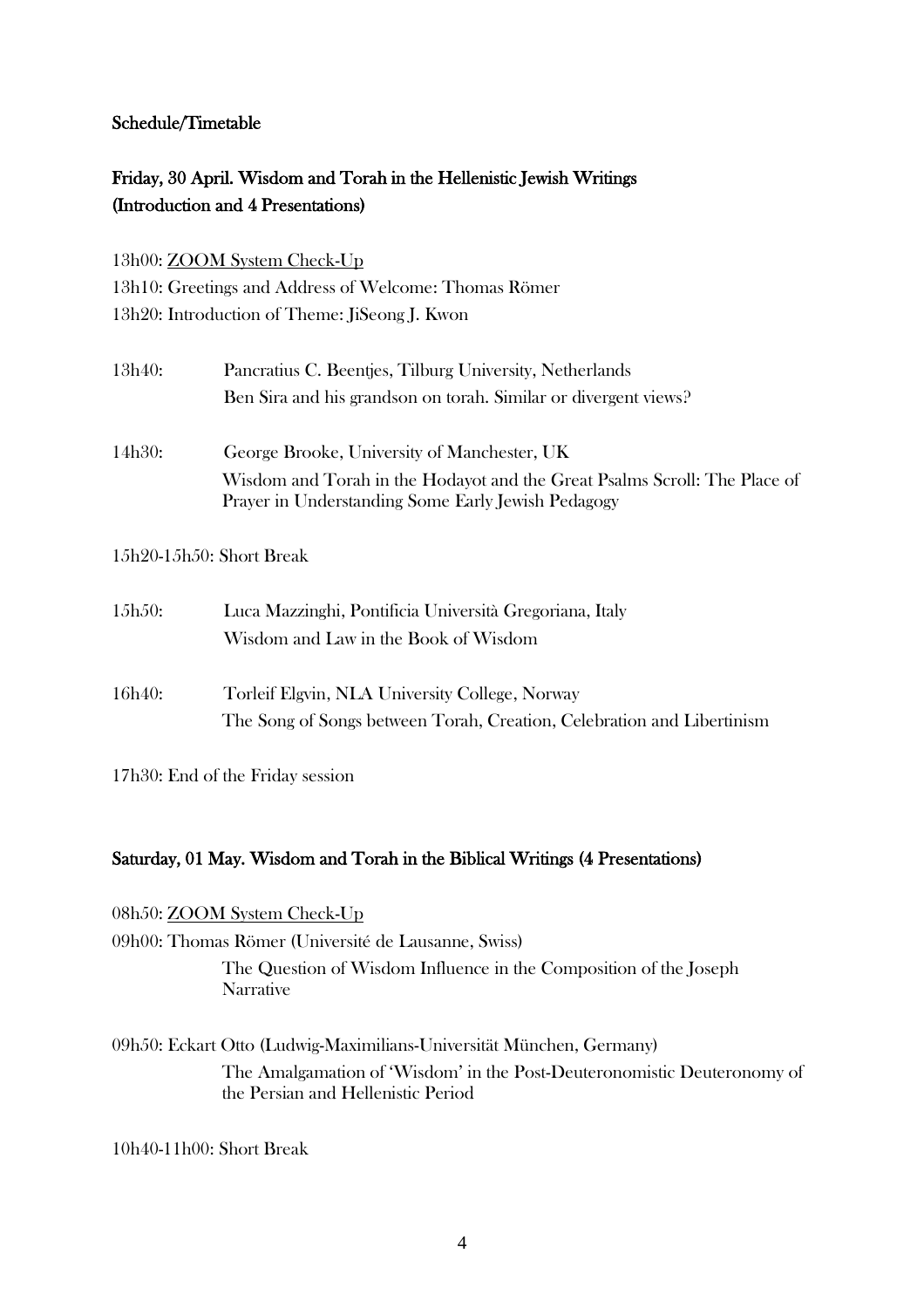#### Schedule/Timetable

## Friday, 30 April. Wisdom and Torah in the Hellenistic Jewish Writings (Introduction and 4 Presentations)

#### 13h00: ZOOM System Check-Up

13h10: Greetings and Address of Welcome: Thomas Römer 13h20: Introduction of Theme: JiSeong J. Kwon

| 13h40: | Pancratius C. Beentjes, Tilburg University, Netherlands         |
|--------|-----------------------------------------------------------------|
|        | Ben Sira and his grandson on torah. Similar or divergent views? |
| 14h30: | George Brooke, University of Manchester, UK                     |

Wisdom and Torah in the Hodayot and the Great Psalms Scroll: The Place of Prayer in Understanding Some Early Jewish Pedagogy

15h20-15h50: Short Break

| 15h50: | Luca Mazzinghi, Pontificia Università Gregoriana, Italy |
|--------|---------------------------------------------------------|
|        | Wisdom and Law in the Book of Wisdom                    |

16h40: Torleif Elgvin, NLA University College, Norway The Song of Songs between Torah, Creation, Celebration and Libertinism

17h30: End of the Friday session

#### Saturday, 01 May. Wisdom and Torah in the Biblical Writings (4 Presentations)

08h50: ZOOM System Check-Up 09h00: Thomas Römer (Université de Lausanne, Swiss) The Question of Wisdom Influence in the Composition of the Joseph **Narrative** 

09h50: Eckart Otto (Ludwig-Maximilians-Universität München, Germany) The Amalgamation of 'Wisdom' in the Post-Deuteronomistic Deuteronomy of the Persian and Hellenistic Period

10h40-11h00: Short Break